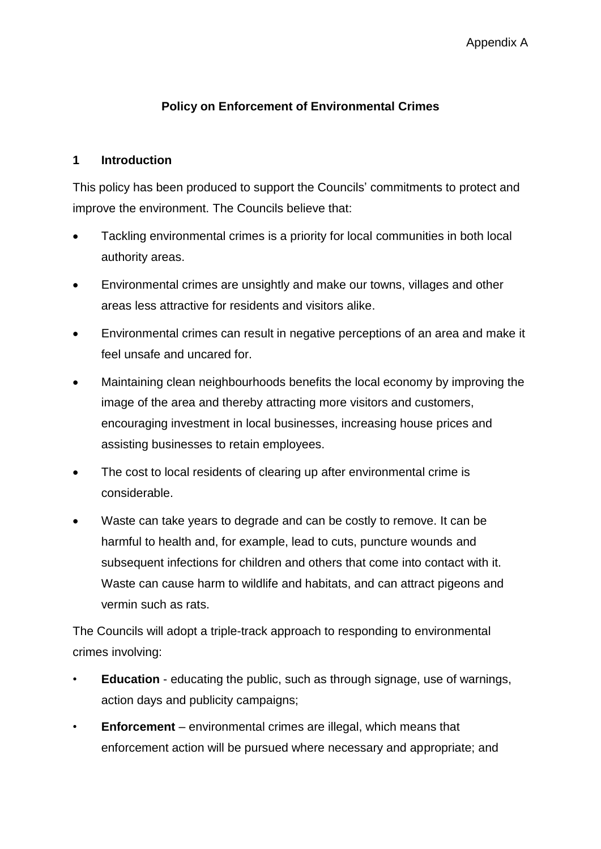### **Policy on Enforcement of Environmental Crimes**

#### **1 Introduction**

This policy has been produced to support the Councils' commitments to protect and improve the environment. The Councils believe that:

- Tackling environmental crimes is a priority for local communities in both local authority areas.
- Environmental crimes are unsightly and make our towns, villages and other areas less attractive for residents and visitors alike.
- Environmental crimes can result in negative perceptions of an area and make it feel unsafe and uncared for.
- Maintaining clean neighbourhoods benefits the local economy by improving the image of the area and thereby attracting more visitors and customers, encouraging investment in local businesses, increasing house prices and assisting businesses to retain employees.
- The cost to local residents of clearing up after environmental crime is considerable.
- Waste can take years to degrade and can be costly to remove. It can be harmful to health and, for example, lead to cuts, puncture wounds and subsequent infections for children and others that come into contact with it. Waste can cause harm to wildlife and habitats, and can attract pigeons and vermin such as rats.

The Councils will adopt a triple-track approach to responding to environmental crimes involving:

- **Education** educating the public, such as through signage, use of warnings, action days and publicity campaigns;
- **Enforcement** environmental crimes are illegal, which means that enforcement action will be pursued where necessary and appropriate; and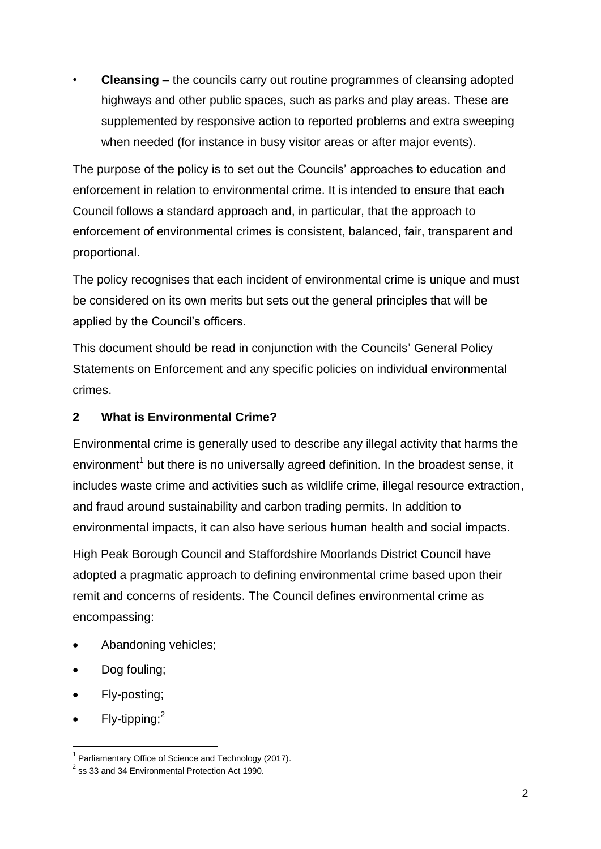• **Cleansing** – the councils carry out routine programmes of cleansing adopted highways and other public spaces, such as parks and play areas. These are supplemented by responsive action to reported problems and extra sweeping when needed (for instance in busy visitor areas or after major events).

The purpose of the policy is to set out the Councils' approaches to education and enforcement in relation to environmental crime. It is intended to ensure that each Council follows a standard approach and, in particular, that the approach to enforcement of environmental crimes is consistent, balanced, fair, transparent and proportional.

The policy recognises that each incident of environmental crime is unique and must be considered on its own merits but sets out the general principles that will be applied by the Council's officers.

This document should be read in conjunction with the Councils' General Policy Statements on Enforcement and any specific policies on individual environmental crimes.

## **2 What is Environmental Crime?**

Environmental crime is generally used to describe any illegal activity that harms the environment<sup>1</sup> but there is no universally agreed definition. In the broadest sense, it includes waste crime and activities such as wildlife crime, illegal resource extraction, and fraud around sustainability and carbon trading permits. In addition to environmental impacts, it can also have serious human health and social impacts.

High Peak Borough Council and Staffordshire Moorlands District Council have adopted a pragmatic approach to defining environmental crime based upon their remit and concerns of residents. The Council defines environmental crime as encompassing:

- Abandoning vehicles;
- Dog fouling;
- Fly-posting;
- $\bullet$  Fly-tipping;<sup>2</sup>

1

 $1$  Parliamentary Office of Science and Technology (2017).

 $2$  ss 33 and 34 Environmental Protection Act 1990.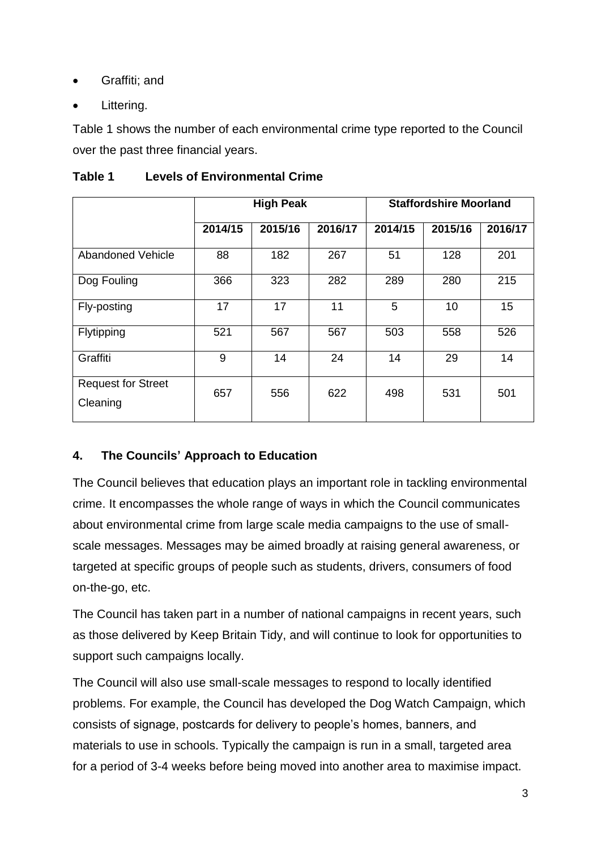- Graffiti; and
- Littering.

Table 1 shows the number of each environmental crime type reported to the Council over the past three financial years.

| Table 1 | <b>Levels of Environmental Crime</b> |  |
|---------|--------------------------------------|--|
|         |                                      |  |

|                                       | <b>High Peak</b> |         |         | <b>Staffordshire Moorland</b> |         |         |
|---------------------------------------|------------------|---------|---------|-------------------------------|---------|---------|
|                                       | 2014/15          | 2015/16 | 2016/17 | 2014/15                       | 2015/16 | 2016/17 |
| <b>Abandoned Vehicle</b>              | 88               | 182     | 267     | 51                            | 128     | 201     |
| Dog Fouling                           | 366              | 323     | 282     | 289                           | 280     | 215     |
| Fly-posting                           | 17               | 17      | 11      | 5                             | 10      | 15      |
| Flytipping                            | 521              | 567     | 567     | 503                           | 558     | 526     |
| Graffiti                              | 9                | 14      | 24      | 14                            | 29      | 14      |
| <b>Request for Street</b><br>Cleaning | 657              | 556     | 622     | 498                           | 531     | 501     |

## **4. The Councils' Approach to Education**

The Council believes that education plays an important role in tackling environmental crime. It encompasses the whole range of ways in which the Council communicates about environmental crime from large scale media campaigns to the use of smallscale messages. Messages may be aimed broadly at raising general awareness, or targeted at specific groups of people such as students, drivers, consumers of food on-the-go, etc.

The Council has taken part in a number of national campaigns in recent years, such as those delivered by Keep Britain Tidy, and will continue to look for opportunities to support such campaigns locally.

The Council will also use small-scale messages to respond to locally identified problems. For example, the Council has developed the Dog Watch Campaign, which consists of signage, postcards for delivery to people's homes, banners, and materials to use in schools. Typically the campaign is run in a small, targeted area for a period of 3-4 weeks before being moved into another area to maximise impact.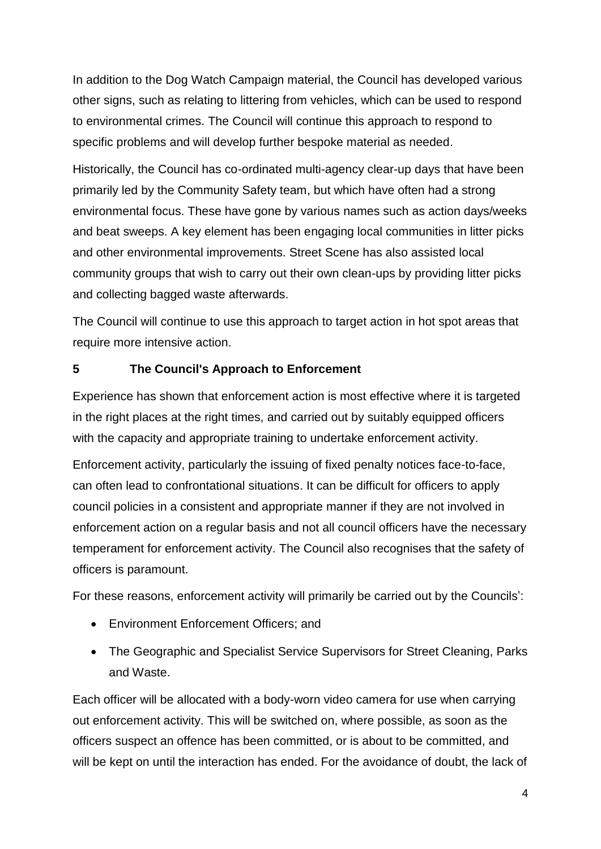In addition to the Dog Watch Campaign material, the Council has developed various other signs, such as relating to littering from vehicles, which can be used to respond to environmental crimes. The Council will continue this approach to respond to specific problems and will develop further bespoke material as needed.

Historically, the Council has co-ordinated multi-agency clear-up days that have been primarily led by the Community Safety team, but which have often had a strong environmental focus. These have gone by various names such as action days/weeks and beat sweeps. A key element has been engaging local communities in litter picks and other environmental improvements. Street Scene has also assisted local community groups that wish to carry out their own clean-ups by providing litter picks and collecting bagged waste afterwards.

The Council will continue to use this approach to target action in hot spot areas that require more intensive action.

## **5 The Council's Approach to Enforcement**

Experience has shown that enforcement action is most effective where it is targeted in the right places at the right times, and carried out by suitably equipped officers with the capacity and appropriate training to undertake enforcement activity.

Enforcement activity, particularly the issuing of fixed penalty notices face-to-face, can often lead to confrontational situations. It can be difficult for officers to apply council policies in a consistent and appropriate manner if they are not involved in enforcement action on a regular basis and not all council officers have the necessary temperament for enforcement activity. The Council also recognises that the safety of officers is paramount.

For these reasons, enforcement activity will primarily be carried out by the Councils':

- Environment Enforcement Officers: and
- The Geographic and Specialist Service Supervisors for Street Cleaning, Parks and Waste.

Each officer will be allocated with a body-worn video camera for use when carrying out enforcement activity. This will be switched on, where possible, as soon as the officers suspect an offence has been committed, or is about to be committed, and will be kept on until the interaction has ended. For the avoidance of doubt, the lack of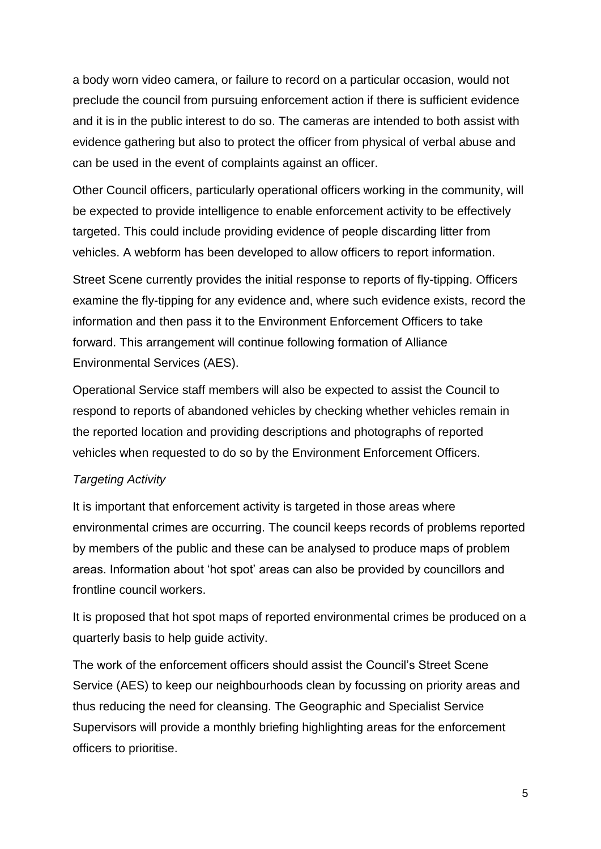a body worn video camera, or failure to record on a particular occasion, would not preclude the council from pursuing enforcement action if there is sufficient evidence and it is in the public interest to do so. The cameras are intended to both assist with evidence gathering but also to protect the officer from physical of verbal abuse and can be used in the event of complaints against an officer.

Other Council officers, particularly operational officers working in the community, will be expected to provide intelligence to enable enforcement activity to be effectively targeted. This could include providing evidence of people discarding litter from vehicles. A webform has been developed to allow officers to report information.

Street Scene currently provides the initial response to reports of fly-tipping. Officers examine the fly-tipping for any evidence and, where such evidence exists, record the information and then pass it to the Environment Enforcement Officers to take forward. This arrangement will continue following formation of Alliance Environmental Services (AES).

Operational Service staff members will also be expected to assist the Council to respond to reports of abandoned vehicles by checking whether vehicles remain in the reported location and providing descriptions and photographs of reported vehicles when requested to do so by the Environment Enforcement Officers.

#### *Targeting Activity*

It is important that enforcement activity is targeted in those areas where environmental crimes are occurring. The council keeps records of problems reported by members of the public and these can be analysed to produce maps of problem areas. Information about 'hot spot' areas can also be provided by councillors and frontline council workers.

It is proposed that hot spot maps of reported environmental crimes be produced on a quarterly basis to help guide activity.

The work of the enforcement officers should assist the Council's Street Scene Service (AES) to keep our neighbourhoods clean by focussing on priority areas and thus reducing the need for cleansing. The Geographic and Specialist Service Supervisors will provide a monthly briefing highlighting areas for the enforcement officers to prioritise.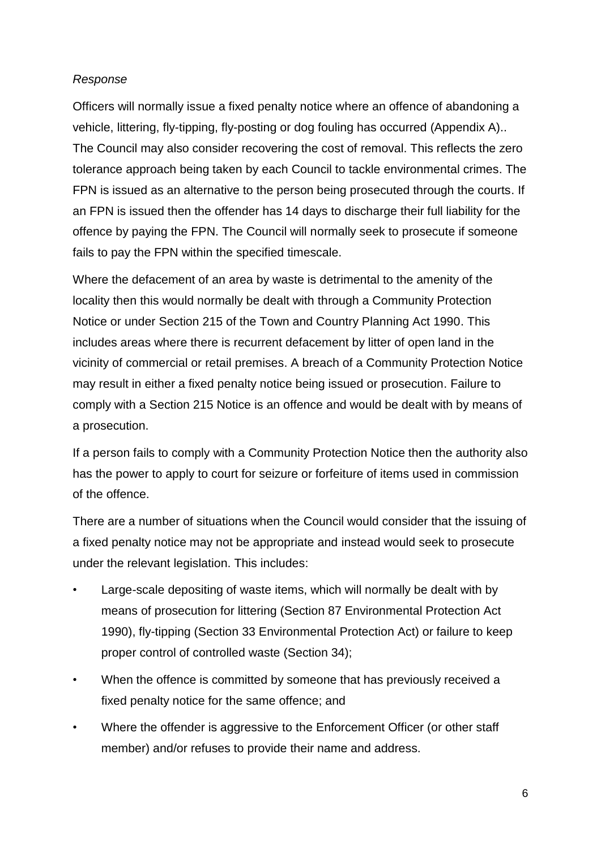#### *Response*

Officers will normally issue a fixed penalty notice where an offence of abandoning a vehicle, littering, fly-tipping, fly-posting or dog fouling has occurred (Appendix A).. The Council may also consider recovering the cost of removal. This reflects the zero tolerance approach being taken by each Council to tackle environmental crimes. The FPN is issued as an alternative to the person being prosecuted through the courts. If an FPN is issued then the offender has 14 days to discharge their full liability for the offence by paying the FPN. The Council will normally seek to prosecute if someone fails to pay the FPN within the specified timescale.

Where the defacement of an area by waste is detrimental to the amenity of the locality then this would normally be dealt with through a Community Protection Notice or under Section 215 of the Town and Country Planning Act 1990. This includes areas where there is recurrent defacement by litter of open land in the vicinity of commercial or retail premises. A breach of a Community Protection Notice may result in either a fixed penalty notice being issued or prosecution. Failure to comply with a Section 215 Notice is an offence and would be dealt with by means of a prosecution.

If a person fails to comply with a Community Protection Notice then the authority also has the power to apply to court for seizure or forfeiture of items used in commission of the offence.

There are a number of situations when the Council would consider that the issuing of a fixed penalty notice may not be appropriate and instead would seek to prosecute under the relevant legislation. This includes:

- Large-scale depositing of waste items, which will normally be dealt with by means of prosecution for littering (Section 87 Environmental Protection Act 1990), fly-tipping (Section 33 Environmental Protection Act) or failure to keep proper control of controlled waste (Section 34);
- When the offence is committed by someone that has previously received a fixed penalty notice for the same offence; and
- Where the offender is aggressive to the Enforcement Officer (or other staff member) and/or refuses to provide their name and address.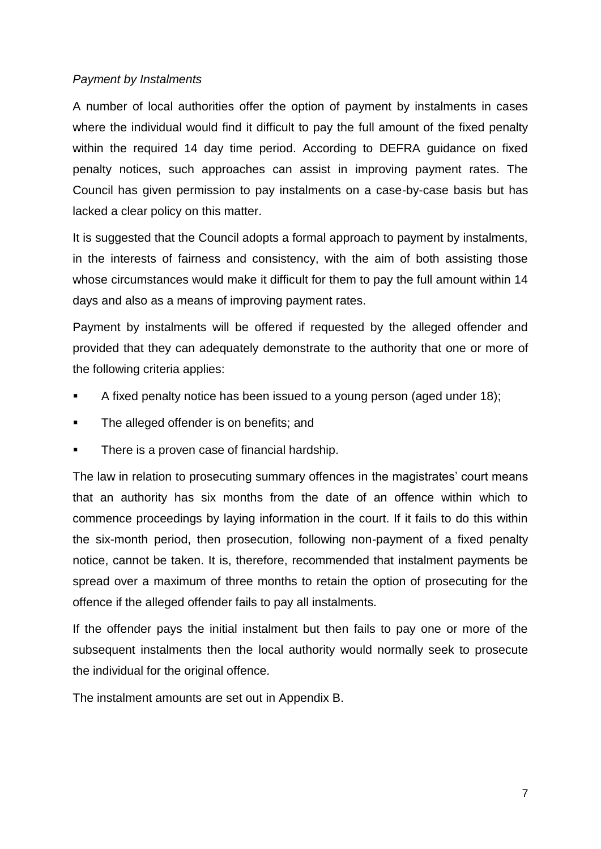#### *Payment by Instalments*

A number of local authorities offer the option of payment by instalments in cases where the individual would find it difficult to pay the full amount of the fixed penalty within the required 14 day time period. According to DEFRA guidance on fixed penalty notices, such approaches can assist in improving payment rates. The Council has given permission to pay instalments on a case-by-case basis but has lacked a clear policy on this matter.

It is suggested that the Council adopts a formal approach to payment by instalments, in the interests of fairness and consistency, with the aim of both assisting those whose circumstances would make it difficult for them to pay the full amount within 14 days and also as a means of improving payment rates.

Payment by instalments will be offered if requested by the alleged offender and provided that they can adequately demonstrate to the authority that one or more of the following criteria applies:

- A fixed penalty notice has been issued to a young person (aged under 18);
- The alleged offender is on benefits; and
- There is a proven case of financial hardship.

The law in relation to prosecuting summary offences in the magistrates' court means that an authority has six months from the date of an offence within which to commence proceedings by laying information in the court. If it fails to do this within the six-month period, then prosecution, following non-payment of a fixed penalty notice, cannot be taken. It is, therefore, recommended that instalment payments be spread over a maximum of three months to retain the option of prosecuting for the offence if the alleged offender fails to pay all instalments.

If the offender pays the initial instalment but then fails to pay one or more of the subsequent instalments then the local authority would normally seek to prosecute the individual for the original offence.

The instalment amounts are set out in Appendix B.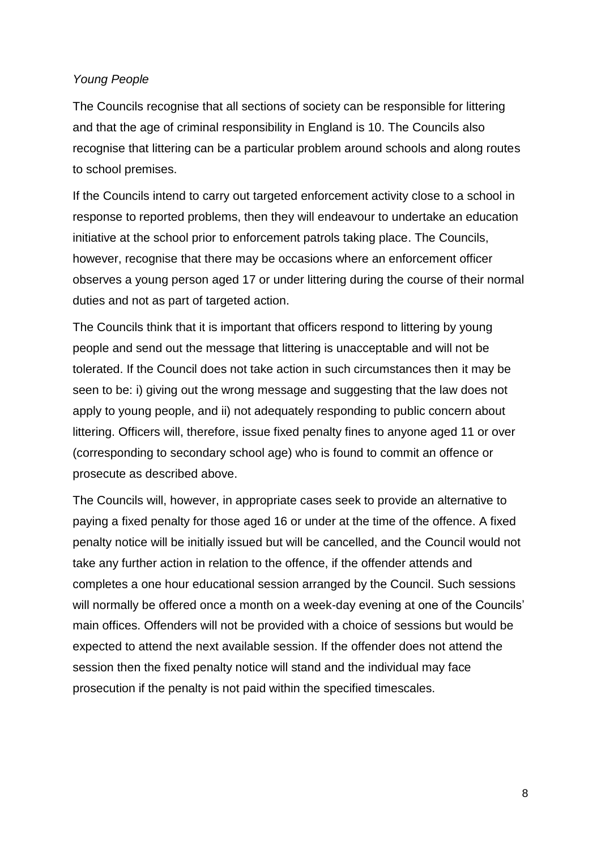#### *Young People*

The Councils recognise that all sections of society can be responsible for littering and that the age of criminal responsibility in England is 10. The Councils also recognise that littering can be a particular problem around schools and along routes to school premises.

If the Councils intend to carry out targeted enforcement activity close to a school in response to reported problems, then they will endeavour to undertake an education initiative at the school prior to enforcement patrols taking place. The Councils, however, recognise that there may be occasions where an enforcement officer observes a young person aged 17 or under littering during the course of their normal duties and not as part of targeted action.

The Councils think that it is important that officers respond to littering by young people and send out the message that littering is unacceptable and will not be tolerated. If the Council does not take action in such circumstances then it may be seen to be: i) giving out the wrong message and suggesting that the law does not apply to young people, and ii) not adequately responding to public concern about littering. Officers will, therefore, issue fixed penalty fines to anyone aged 11 or over (corresponding to secondary school age) who is found to commit an offence or prosecute as described above.

The Councils will, however, in appropriate cases seek to provide an alternative to paying a fixed penalty for those aged 16 or under at the time of the offence. A fixed penalty notice will be initially issued but will be cancelled, and the Council would not take any further action in relation to the offence, if the offender attends and completes a one hour educational session arranged by the Council. Such sessions will normally be offered once a month on a week-day evening at one of the Councils' main offices. Offenders will not be provided with a choice of sessions but would be expected to attend the next available session. If the offender does not attend the session then the fixed penalty notice will stand and the individual may face prosecution if the penalty is not paid within the specified timescales.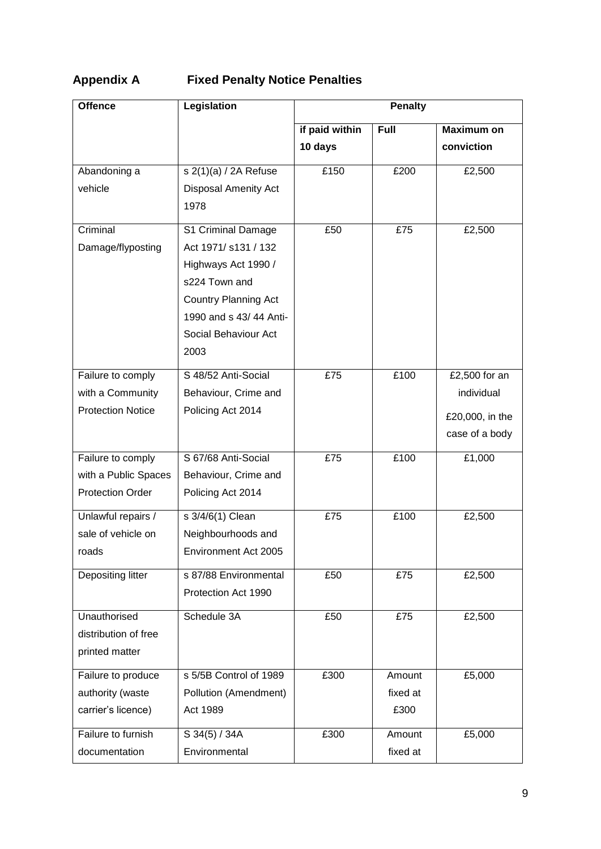# **Appendix A Fixed Penalty Notice Penalties**

| <b>Offence</b>           | Legislation                 | <b>Penalty</b> |             |                   |  |
|--------------------------|-----------------------------|----------------|-------------|-------------------|--|
|                          |                             | if paid within | <b>Full</b> | <b>Maximum on</b> |  |
|                          |                             | 10 days        |             | conviction        |  |
| Abandoning a             | $s$ 2(1)(a) / 2A Refuse     | £150           | £200        | £2,500            |  |
| vehicle                  | <b>Disposal Amenity Act</b> |                |             |                   |  |
|                          | 1978                        |                |             |                   |  |
| Criminal                 | S1 Criminal Damage          | £50            | £75         | £2,500            |  |
| Damage/flyposting        | Act 1971/ s131 / 132        |                |             |                   |  |
|                          | Highways Act 1990 /         |                |             |                   |  |
|                          | s224 Town and               |                |             |                   |  |
|                          | <b>Country Planning Act</b> |                |             |                   |  |
|                          | 1990 and s 43/44 Anti-      |                |             |                   |  |
|                          | Social Behaviour Act        |                |             |                   |  |
|                          | 2003                        |                |             |                   |  |
| Failure to comply        | S 48/52 Anti-Social         | £75            | £100        | £2,500 for an     |  |
| with a Community         | Behaviour, Crime and        |                |             | individual        |  |
| <b>Protection Notice</b> | Policing Act 2014           |                |             | £20,000, in the   |  |
|                          |                             |                |             | case of a body    |  |
|                          |                             |                |             |                   |  |
| Failure to comply        | S 67/68 Anti-Social         | £75            | £100        | £1,000            |  |
| with a Public Spaces     | Behaviour, Crime and        |                |             |                   |  |
| <b>Protection Order</b>  | Policing Act 2014           |                |             |                   |  |
| Unlawful repairs /       | s 3/4/6(1) Clean            | £75            | £100        | £2,500            |  |
| sale of vehicle on       | Neighbourhoods and          |                |             |                   |  |
| roads                    | Environment Act 2005        |                |             |                   |  |
| Depositing litter        | s 87/88 Environmental       | £50            | £75         | £2,500            |  |
|                          | Protection Act 1990         |                |             |                   |  |
| Unauthorised             | Schedule 3A                 | £50            | £75         | £2,500            |  |
| distribution of free     |                             |                |             |                   |  |
| printed matter           |                             |                |             |                   |  |
| Failure to produce       | s 5/5B Control of 1989      | £300           | Amount      | £5,000            |  |
| authority (waste         | Pollution (Amendment)       |                | fixed at    |                   |  |
| carrier's licence)       | Act 1989                    |                | £300        |                   |  |
| Failure to furnish       | S 34(5) / 34A               | £300           | Amount      | £5,000            |  |
| documentation            | Environmental               |                | fixed at    |                   |  |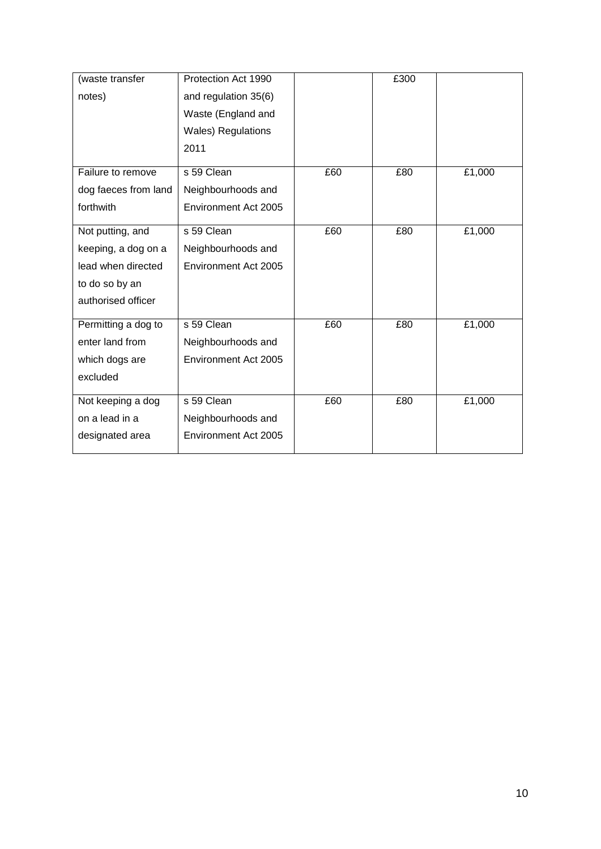| (waste transfer      | Protection Act 1990        |     | £300 |        |
|----------------------|----------------------------|-----|------|--------|
| notes)               | and regulation 35(6)       |     |      |        |
|                      | Waste (England and         |     |      |        |
|                      | <b>Wales</b> ) Regulations |     |      |        |
|                      | 2011                       |     |      |        |
| Failure to remove    | s 59 Clean                 | £60 | £80  | £1,000 |
|                      |                            |     |      |        |
| dog faeces from land | Neighbourhoods and         |     |      |        |
| forthwith            | Environment Act 2005       |     |      |        |
| Not putting, and     | s 59 Clean                 | £60 | £80  | £1,000 |
|                      |                            |     |      |        |
| keeping, a dog on a  | Neighbourhoods and         |     |      |        |
| lead when directed   | Environment Act 2005       |     |      |        |
| to do so by an       |                            |     |      |        |
| authorised officer   |                            |     |      |        |
| Permitting a dog to  | s 59 Clean                 | £60 | £80  | £1,000 |
| enter land from      | Neighbourhoods and         |     |      |        |
| which dogs are       | Environment Act 2005       |     |      |        |
| excluded             |                            |     |      |        |
|                      |                            |     |      |        |
| Not keeping a dog    | s 59 Clean                 | £60 | £80  | £1,000 |
| on a lead in a       | Neighbourhoods and         |     |      |        |
| designated area      | Environment Act 2005       |     |      |        |
|                      |                            |     |      |        |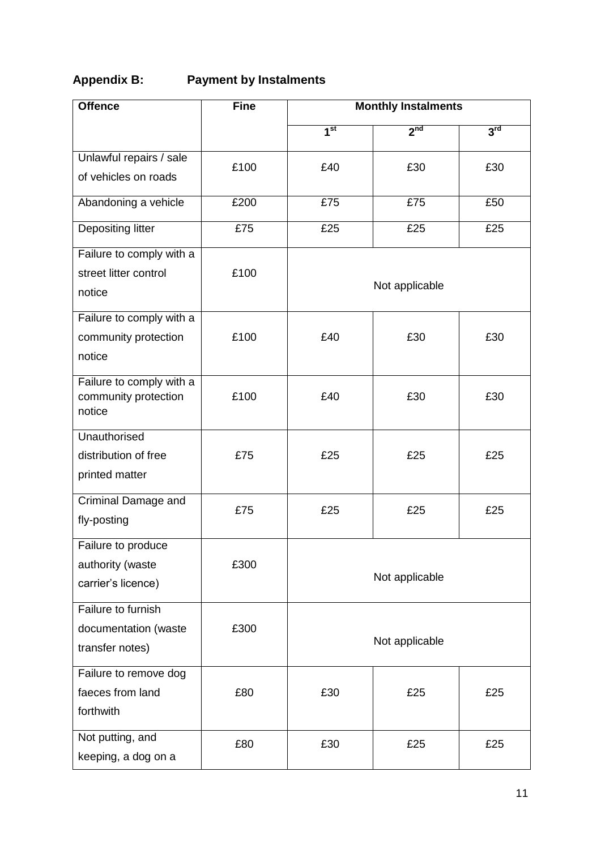## **Appendix B: Payment by Instalments**

| <b>Offence</b>                                                | <b>Fine</b> | <b>Monthly Instalments</b>   |                 |                 |  |
|---------------------------------------------------------------|-------------|------------------------------|-----------------|-----------------|--|
|                                                               |             | $\overline{1}$ <sup>st</sup> | 2 <sub>nd</sub> | 3 <sup>rd</sup> |  |
| Unlawful repairs / sale<br>of vehicles on roads               | £100        | £40                          | £30             | £30             |  |
| Abandoning a vehicle                                          | £200        | £75                          | £75             | £50             |  |
| Depositing litter                                             | £75         | £25                          | £25             | £25             |  |
| Failure to comply with a<br>street litter control<br>notice   | £100        | Not applicable               |                 |                 |  |
| Failure to comply with a<br>community protection<br>notice    | £100        | £40                          | £30             | £30             |  |
| Failure to comply with a<br>community protection<br>notice    | £100        | £40                          | £30             | £30             |  |
| Unauthorised<br>distribution of free<br>printed matter        | £75         | £25                          | £25             | £25             |  |
| Criminal Damage and<br>fly-posting                            | £75         | £25                          | £25             | £25             |  |
| Failure to produce<br>authority (waste<br>carrier's licence)  | £300        | Not applicable               |                 |                 |  |
| Failure to furnish<br>documentation (waste<br>transfer notes) | £300        | Not applicable               |                 |                 |  |
| Failure to remove dog<br>faeces from land<br>forthwith        | £80         | £30                          | £25             | £25             |  |
| Not putting, and<br>keeping, a dog on a                       | £80         | £30                          | £25             | £25             |  |